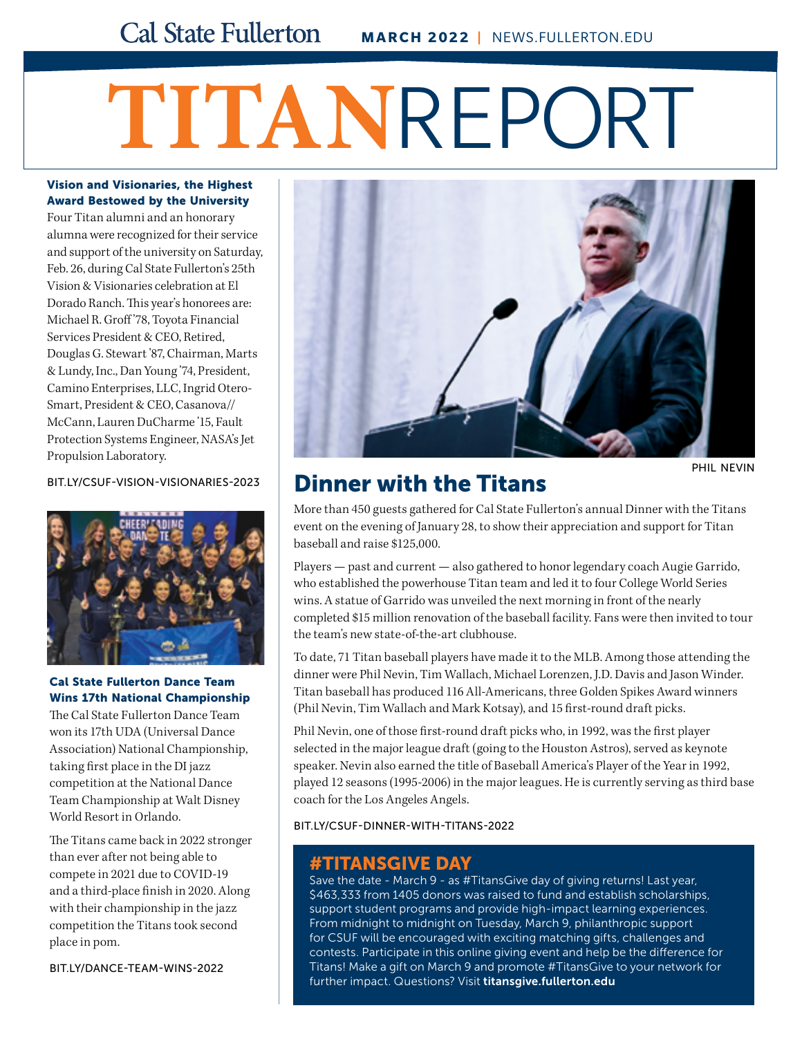# **TITAN**REPORT

#### Vision and Visionaries, the Highest Award Bestowed by the University

Four Titan alumni and an honorary alumna were recognized for their service and support of the university on Saturday, Feb. 26, during Cal State Fullerton's 25th Vision & Visionaries celebration at El Dorado Ranch. This year's honorees are: Michael R. Groff '78, Toyota Financial Services President & CEO, Retired, Douglas G. Stewart '87, Chairman, Marts & Lundy, Inc., Dan Young '74, President, Camino Enterprises, LLC, Ingrid Otero-Smart, President & CEO, Casanova// McCann, Lauren DuCharme '15, Fault Protection Systems Engineer, NASA's Jet Propulsion Laboratory.



#### Cal State Fullerton Dance Team Wins 17th National Championship

The Cal State Fullerton Dance Team won its 17th UDA (Universal Dance Association) National Championship, taking first place in the DI jazz competition at the National Dance Team Championship at Walt Disney World Resort in Orlando.

The Titans came back in 2022 stronger than ever after not being able to compete in 2021 due to COVID-19 and a third-place finish in 2020. Along with their championship in the jazz competition the Titans took second place in pom.

[BIT.LY/DANCE-TEAM-WINS-2022](http://bit.ly/dance-team-wins-2022) 



# [BIT.LY/CSUF-VISION-VISIONARIES-2023](http://bit.ly/csuf-vision-visionaries-2023) **Dinner with the Titans**

PHIL NEVIN

More than 450 guests gathered for Cal State Fullerton's annual Dinner with the Titans event on the evening of January 28, to show their appreciation and support for Titan baseball and raise \$125,000.

Players — past and current — also gathered to honor legendary coach Augie Garrido, who established the powerhouse Titan team and led it to four College World Series wins. A statue of Garrido was unveiled the next morning in front of the nearly completed \$15 million renovation of the baseball facility. Fans were then invited to tour the team's new state-of-the-art clubhouse.

To date, 71 Titan baseball players have made it to the MLB. Among those attending the dinner were Phil Nevin, Tim Wallach, Michael Lorenzen, J.D. Davis and Jason Winder. Titan baseball has produced 116 All-Americans, three Golden Spikes Award winners (Phil Nevin, Tim Wallach and Mark Kotsay), and 15 first-round draft picks.

Phil Nevin, one of those first-round draft picks who, in 1992, was the first player selected in the major league draft (going to the Houston Astros), served as keynote speaker. Nevin also earned the title of Baseball America's Player of the Year in 1992, played 12 seasons (1995-2006) in the major leagues. He is currently serving as third base coach for the Los Angeles Angels.

[BIT.LY/CSUF-DINNER-WITH-TITANS-2022](http://bit.ly/csuf-dinner-with-titans-2022)

# #TITANSGIVE DAY

Save the date - March 9 - as #TitansGive day of giving returns! Last year, \$463,333 from 1405 donors was raised to fund and establish scholarships, support student programs and provide high-impact learning experiences. From midnight to midnight on Tuesday, March 9, philanthropic support for CSUF will be encouraged with exciting matching gifts, challenges and contests. Participate in this online giving event and help be the difference for Titans! Make a gift on March 9 and promote #TitansGive to your network for further impact. Questions? Visit titansgive.fullerton.edu